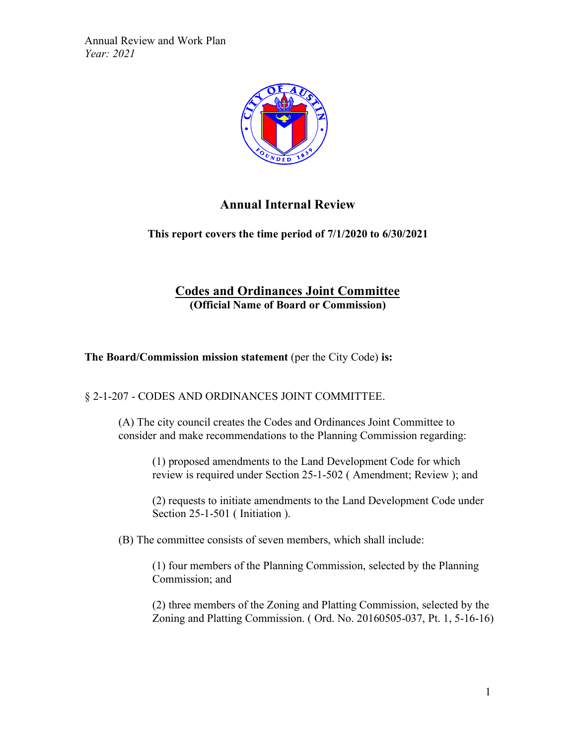

## **Annual Internal Review**

**This report covers the time period of 7/1/2020 to 6/30/2021**

# **Codes and Ordinances Joint Committee (Official Name of Board or Commission)**

**The Board/Commission mission statement** (per the City Code) **is:**

§ 2-1-207 - CODES AND ORDINANCES JOINT COMMITTEE.

(A) The city council creates the Codes and Ordinances Joint Committee to consider and make recommendations to the Planning Commission regarding:

(1) proposed amendments to the Land Development Code for which review is required under Section 25-1-502 ( Amendment; Review ); and

(2) requests to initiate amendments to the Land Development Code under Section 25-1-501 (Initiation).

(B) The committee consists of seven members, which shall include:

(1) four members of the Planning Commission, selected by the Planning Commission; and

(2) three members of the Zoning and Platting Commission, selected by the Zoning and Platting Commission. ( Ord. No. 20160505-037, Pt. 1, 5-16-16)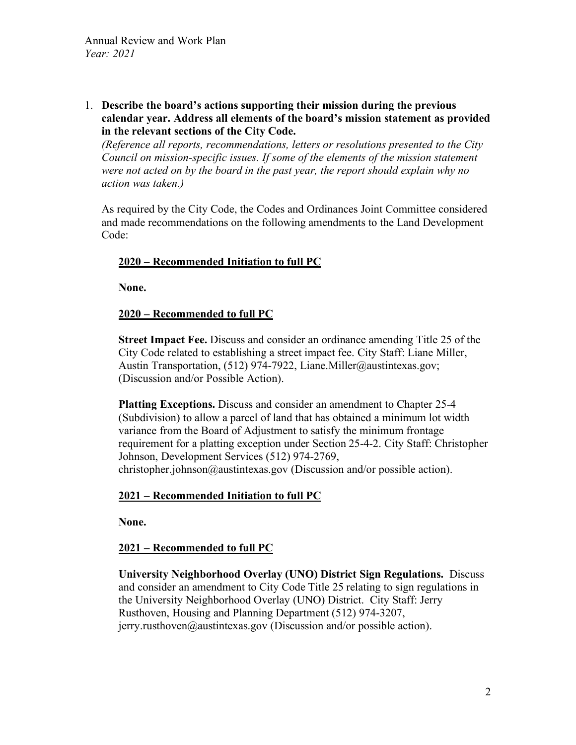1. **Describe the board's actions supporting their mission during the previous calendar year. Address all elements of the board's mission statement as provided in the relevant sections of the City Code.** 

*(Reference all reports, recommendations, letters or resolutions presented to the City Council on mission-specific issues. If some of the elements of the mission statement were not acted on by the board in the past year, the report should explain why no action was taken.)*

As required by the City Code, the Codes and Ordinances Joint Committee considered and made recommendations on the following amendments to the Land Development Code:

## **2020 – Recommended Initiation to full PC**

**None.**

## **2020 – Recommended to full PC**

**Street Impact Fee.** Discuss and consider an ordinance amending Title 25 of the City Code related to establishing a street impact fee. City Staff: Liane Miller, Austin Transportation, (512) 974-7922, Liane.Miller@austintexas.gov; (Discussion and/or Possible Action).

**Platting Exceptions.** Discuss and consider an amendment to Chapter 25-4 (Subdivision) to allow a parcel of land that has obtained a minimum lot width variance from the Board of Adjustment to satisfy the minimum frontage requirement for a platting exception under Section 25-4-2. City Staff: Christopher Johnson, Development Services (512) 974-2769, christopher.johnson@austintexas.gov (Discussion and/or possible action).

## **2021 – Recommended Initiation to full PC**

**None.**

## **2021 – Recommended to full PC**

**University Neighborhood Overlay (UNO) District Sign Regulations.** Discuss and consider an amendment to City Code Title 25 relating to sign regulations in the University Neighborhood Overlay (UNO) District. City Staff: Jerry Rusthoven, Housing and Planning Department (512) 974-3207, jerry.rusthoven@austintexas.gov (Discussion and/or possible action).